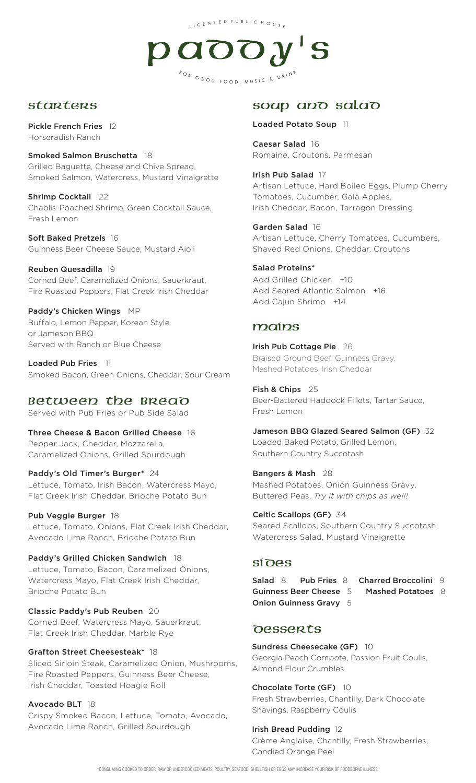LICENSED PUBLIC HOUSE



#### **starters**

Pickle French Fries 12 Horseradish Ranch

Smoked Salmon Bruschetta 18 Grilled Baguette, Cheese and Chive Spread, Smoked Salmon, Watercress, Mustard Vinaigrette

Shrimp Cocktail 22 Chablis-Poached Shrimp, Green Cocktail Sauce, Fresh Lemon

Soft Baked Pretzels 16 Guinness Beer Cheese Sauce, Mustard Aioli

Reuben Quesadilla 19 Corned Beef, Caramelized Onions, Sauerkraut, Fire Roasted Peppers, Flat Creek Irish Cheddar

Paddy's Chicken Wings MP Buffalo, Lemon Pepper, Korean Style or Jameson BBQ Served with Ranch or Blue Cheese

Loaded Pub Fries 11 Smoked Bacon, Green Onions, Cheddar, Sour Cream

### Between the Bread

Served with Pub Fries or Pub Side Salad

Three Cheese & Bacon Grilled Cheese 16 Pepper Jack, Cheddar, Mozzarella, Caramelized Onions, Grilled Sourdough

Paddy's Old Timer's Burger\* 24 Lettuce, Tomato, Irish Bacon, Watercress Mayo, Flat Creek Irish Cheddar, Brioche Potato Bun

Pub Veggie Burger 18 Lettuce, Tomato, Onions, Flat Creek Irish Cheddar, Avocado Lime Ranch, Brioche Potato Bun

Paddy's Grilled Chicken Sandwich 18 Lettuce, Tomato, Bacon, Caramelized Onions, Watercress Mayo, Flat Creek Irish Cheddar, Brioche Potato Bun

Classic Paddy's Pub Reuben 20 Corned Beef, Watercress Mayo, Sauerkraut, Flat Creek Irish Cheddar, Marble Rye

Grafton Street Cheesesteak\* 18 Sliced Sirloin Steak, Caramelized Onion, Mushrooms, Fire Roasted Peppers, Guinness Beer Cheese,

Irish Cheddar, Toasted Hoagie Roll

Avocado BLT 18 Crispy Smoked Bacon, Lettuce, Tomato, Avocado, Avocado Lime Ranch, Grilled Sourdough

# soup and salad

Loaded Potato Soup 11

Caesar Salad 16 Romaine, Croutons, Parmesan

Irish Pub Salad 17 Artisan Lettuce, Hard Boiled Eggs, Plump Cherry Tomatoes, Cucumber, Gala Apples, Irish Cheddar, Bacon, Tarragon Dressing

Garden Salad 16 Artisan Lettuce, Cherry Tomatoes, Cucumbers, Shaved Red Onions, Cheddar, Croutons

#### Salad Proteins\* Add Grilled Chicken +10

Add Seared Atlantic Salmon +16 Add Cajun Shrimp +14

## mains

Irish Pub Cottage Pie 26 Braised Ground Beef, Guinness Gravy, Mashed Potatoes, Irish Cheddar

Fish & Chips 25 Beer-Battered Haddock Fillets, Tartar Sauce, Fresh Lemon

Jameson BBQ Glazed Seared Salmon (GF) 32 Loaded Baked Potato, Grilled Lemon,

Southern Country Succotash

Bangers & Mash 28 Mashed Potatoes, Onion Guinness Gravy, Buttered Peas. *Try it with chips as well!*

Celtic Scallops (GF) 34 Seared Scallops, Southern Country Succotash, Watercress Salad, Mustard Vinaigrette

### SIDES

 Salad 8 Pub Fries<sup>8</sup> Charred Broccolini <sup>9</sup> Guinness Beer Cheese 5 Mashed Potatoes 8 Onion Guinness Gravy 5

## **DESSERTS**

Sundress Cheesecake (GF) 10

Georgia Peach Compote, Passion Fruit Coulis, Almond Flour Crumbles

Chocolate Torte (GF) 10

Fresh Strawberries, Chantilly, Dark Chocolate Shavings, Raspberry Coulis

#### Irish Bread Pudding 12

Crème Anglaise, Chantilly, Fresh Strawberries, Candied Orange Peel

\*CONSUMING COOKED TO ORDER, RAW OR UNDERCOOKED MEATS, POULTRY, SEAFOOD, SHELLFISH OR EGGS MAY INCREASE YOUR RISK OF FOODBORNE ILLNESS.